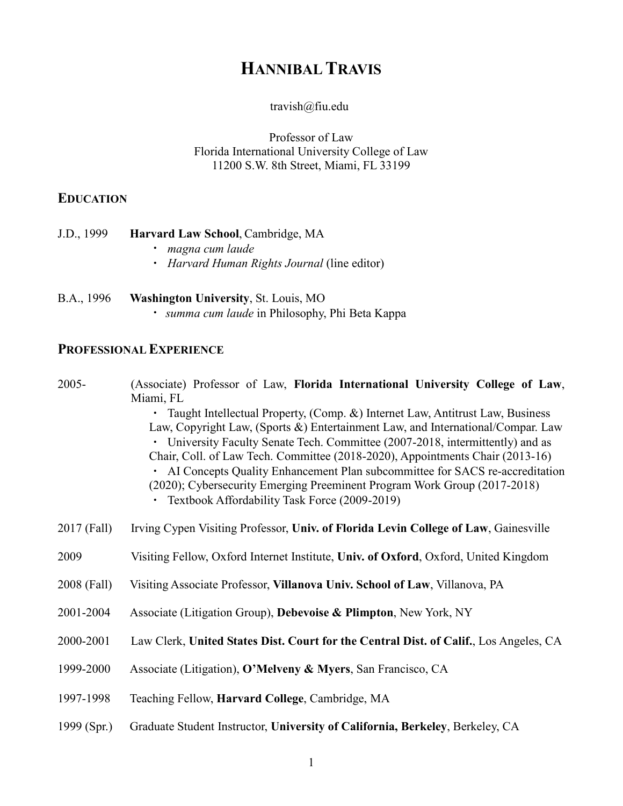# **HANNIBAL TRAVIS**

#### travish@fiu.edu

Professor of Law Florida International University College of Law 11200 S.W. 8th Street, Miami, FL 33199

## **EDUCATION**

- J.D., 1999 **Harvard Law School**, Cambridge, MA
	- *magna cum laude*
	- *Harvard Human Rights Journal* (line editor)
- B.A., 1996 **Washington University**, St. Louis, MO *summa cum laude* in Philosophy, Phi Beta Kappa

### **PROFESSIONAL EXPERIENCE**

| 2005-         | (Associate) Professor of Law, Florida International University College of Law,<br>Miami, FL                                                                                                                                                                                                                                                                                                                                                                                                                                                     |  |  |  |  |
|---------------|-------------------------------------------------------------------------------------------------------------------------------------------------------------------------------------------------------------------------------------------------------------------------------------------------------------------------------------------------------------------------------------------------------------------------------------------------------------------------------------------------------------------------------------------------|--|--|--|--|
|               | • Taught Intellectual Property, (Comp. &) Internet Law, Antitrust Law, Business<br>Law, Copyright Law, (Sports &) Entertainment Law, and International/Compar. Law<br>University Faculty Senate Tech. Committee (2007-2018, intermittently) and as<br>Chair, Coll. of Law Tech. Committee (2018-2020), Appointments Chair (2013-16)<br>AI Concepts Quality Enhancement Plan subcommittee for SACS re-accreditation<br>(2020); Cybersecurity Emerging Preeminent Program Work Group (2017-2018)<br>Textbook Affordability Task Force (2009-2019) |  |  |  |  |
| 2017 (Fall)   | Irving Cypen Visiting Professor, Univ. of Florida Levin College of Law, Gainesville                                                                                                                                                                                                                                                                                                                                                                                                                                                             |  |  |  |  |
| 2009          | Visiting Fellow, Oxford Internet Institute, Univ. of Oxford, Oxford, United Kingdom                                                                                                                                                                                                                                                                                                                                                                                                                                                             |  |  |  |  |
| 2008 (Fall)   | Visiting Associate Professor, Villanova Univ. School of Law, Villanova, PA                                                                                                                                                                                                                                                                                                                                                                                                                                                                      |  |  |  |  |
| 2001-2004     | Associate (Litigation Group), Debevoise & Plimpton, New York, NY                                                                                                                                                                                                                                                                                                                                                                                                                                                                                |  |  |  |  |
| 2000-2001     | Law Clerk, United States Dist. Court for the Central Dist. of Calif., Los Angeles, CA                                                                                                                                                                                                                                                                                                                                                                                                                                                           |  |  |  |  |
| 1999-2000     | Associate (Litigation), O'Melveny & Myers, San Francisco, CA                                                                                                                                                                                                                                                                                                                                                                                                                                                                                    |  |  |  |  |
| 1997-1998     | Teaching Fellow, Harvard College, Cambridge, MA                                                                                                                                                                                                                                                                                                                                                                                                                                                                                                 |  |  |  |  |
| 1999 $(Spr.)$ | Graduate Student Instructor, University of California, Berkeley, Berkeley, CA                                                                                                                                                                                                                                                                                                                                                                                                                                                                   |  |  |  |  |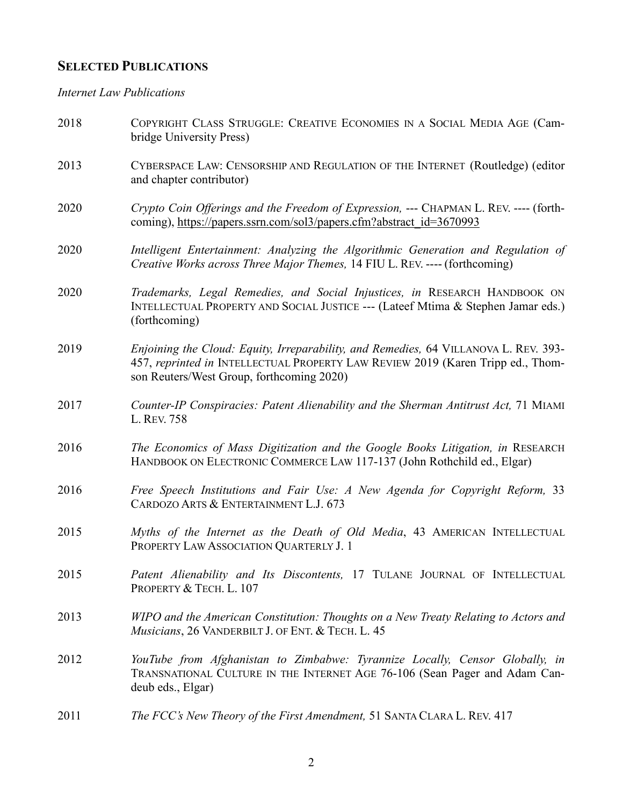## **SELECTED PUBLICATIONS**

*Internet Law Publications*

| 2018 | COPYRIGHT CLASS STRUGGLE: CREATIVE ECONOMIES IN A SOCIAL MEDIA AGE (Cam-<br>bridge University Press)                                                                                                                 |  |  |  |  |
|------|----------------------------------------------------------------------------------------------------------------------------------------------------------------------------------------------------------------------|--|--|--|--|
| 2013 | CYBERSPACE LAW: CENSORSHIP AND REGULATION OF THE INTERNET (Routledge) (editor<br>and chapter contributor)                                                                                                            |  |  |  |  |
| 2020 | Crypto Coin Offerings and the Freedom of Expression, --- CHAPMAN L. REV. ---- (forth-<br>coming), https://papers.ssrn.com/sol3/papers.cfm?abstract_id=3670993                                                        |  |  |  |  |
| 2020 | Intelligent Entertainment: Analyzing the Algorithmic Generation and Regulation of<br>Creative Works across Three Major Themes, 14 FIU L. REV. ---- (forthcoming)                                                     |  |  |  |  |
| 2020 | Trademarks, Legal Remedies, and Social Injustices, in RESEARCH HANDBOOK ON<br>INTELLECTUAL PROPERTY AND SOCIAL JUSTICE --- (Lateef Mtima & Stephen Jamar eds.)<br>(forthcoming)                                      |  |  |  |  |
| 2019 | Enjoining the Cloud: Equity, Irreparability, and Remedies, 64 VILLANOVA L. REV. 393-<br>457, reprinted in INTELLECTUAL PROPERTY LAW REVIEW 2019 (Karen Tripp ed., Thom-<br>son Reuters/West Group, forthcoming 2020) |  |  |  |  |
| 2017 | Counter-IP Conspiracies: Patent Alienability and the Sherman Antitrust Act, 71 MIAMI<br>L. REV. 758                                                                                                                  |  |  |  |  |
| 2016 | The Economics of Mass Digitization and the Google Books Litigation, in RESEARCH<br>HANDBOOK ON ELECTRONIC COMMERCE LAW 117-137 (John Rothchild ed., Elgar)                                                           |  |  |  |  |
| 2016 | Free Speech Institutions and Fair Use: A New Agenda for Copyright Reform, 33<br>CARDOZO ARTS & ENTERTAINMENT L.J. 673                                                                                                |  |  |  |  |
| 2015 | Myths of the Internet as the Death of Old Media, 43 AMERICAN INTELLECTUAL<br>PROPERTY LAW ASSOCIATION QUARTERLY J. 1                                                                                                 |  |  |  |  |
| 2015 | Patent Alienability and Its Discontents, 17 TULANE JOURNAL OF INTELLECTUAL<br>PROPERTY & TECH. L. 107                                                                                                                |  |  |  |  |
| 2013 | WIPO and the American Constitution: Thoughts on a New Treaty Relating to Actors and<br><i>Musicians</i> , 26 VANDERBILT J. OF ENT. & TECH. L. 45                                                                     |  |  |  |  |
| 2012 | YouTube from Afghanistan to Zimbabwe: Tyrannize Locally, Censor Globally, in<br>TRANSNATIONAL CULTURE IN THE INTERNET AGE 76-106 (Sean Pager and Adam Can-<br>deub eds., Elgar)                                      |  |  |  |  |
| 2011 | The FCC's New Theory of the First Amendment, 51 SANTA CLARA L. REV. 417                                                                                                                                              |  |  |  |  |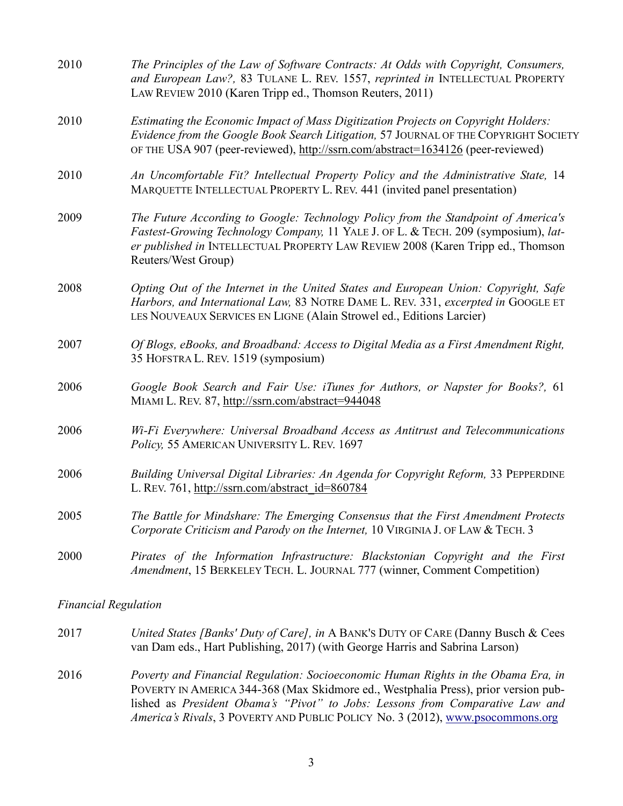| 2010 | The Principles of the Law of Software Contracts: At Odds with Copyright, Consumers,<br>and European Law?, 83 TULANE L. REV. 1557, reprinted in INTELLECTUAL PROPERTY<br>LAW REVIEW 2010 (Karen Tripp ed., Thomson Reuters, 2011)                                                   |
|------|------------------------------------------------------------------------------------------------------------------------------------------------------------------------------------------------------------------------------------------------------------------------------------|
| 2010 | Estimating the Economic Impact of Mass Digitization Projects on Copyright Holders:<br>Evidence from the Google Book Search Litigation, 57 JOURNAL OF THE COPYRIGHT SOCIETY<br>OF THE USA 907 (peer-reviewed), http://ssrn.com/abstract=1634126 (peer-reviewed)                     |
| 2010 | An Uncomfortable Fit? Intellectual Property Policy and the Administrative State, 14<br>MARQUETTE INTELLECTUAL PROPERTY L. REV. 441 (invited panel presentation)                                                                                                                    |
| 2009 | The Future According to Google: Technology Policy from the Standpoint of America's<br>Fastest-Growing Technology Company, 11 YALE J. OF L. & TECH. 209 (symposium), lat-<br>er published in INTELLECTUAL PROPERTY LAW REVIEW 2008 (Karen Tripp ed., Thomson<br>Reuters/West Group) |
| 2008 | Opting Out of the Internet in the United States and European Union: Copyright, Safe<br>Harbors, and International Law, 83 NOTRE DAME L. REV. 331, excerpted in GOOGLE ET<br>LES NOUVEAUX SERVICES EN LIGNE (Alain Strowel ed., Editions Larcier)                                   |
| 2007 | Of Blogs, eBooks, and Broadband: Access to Digital Media as a First Amendment Right,<br>35 HOFSTRA L. REV. 1519 (symposium)                                                                                                                                                        |
| 2006 | Google Book Search and Fair Use: iTunes for Authors, or Napster for Books?, 61<br>MIAMI L. REV. 87, http://ssrn.com/abstract=944048                                                                                                                                                |
| 2006 | Wi-Fi Everywhere: Universal Broadband Access as Antitrust and Telecommunications<br>Policy, 55 AMERICAN UNIVERSITY L. REV. 1697                                                                                                                                                    |
| 2006 | Building Universal Digital Libraries: An Agenda for Copyright Reform, 33 PEPPERDINE<br>L. REV. 761, http://ssrn.com/abstract_id=860784                                                                                                                                             |
| 2005 | The Battle for Mindshare: The Emerging Consensus that the First Amendment Protects<br>Corporate Criticism and Parody on the Internet, 10 VIRGINIA J. OF LAW & TECH. 3                                                                                                              |
| 2000 | Pirates of the Information Infrastructure: Blackstonian Copyright and the First<br>Amendment, 15 BERKELEY TECH. L. JOURNAL 777 (winner, Comment Competition)                                                                                                                       |

*Financial Regulation*

| 2017 | United States [Banks' Duty of Care], in A BANK'S DUTY OF CARE (Danny Busch & Cees<br>van Dam eds., Hart Publishing, 2017) (with George Harris and Sabrina Larson)                                                                                         |
|------|-----------------------------------------------------------------------------------------------------------------------------------------------------------------------------------------------------------------------------------------------------------|
| 2016 | Poverty and Financial Regulation: Socioeconomic Human Rights in the Obama Era, in<br>POVERTY IN AMERICA 344-368 (Max Skidmore ed., Westphalia Press), prior version pub-<br>lished as President Obama's "Pivot" to Jobs: Lessons from Comparative Law and |
|      | America's Rivals, 3 POVERTY AND PUBLIC POLICY No. 3 (2012), www.psocommons.org                                                                                                                                                                            |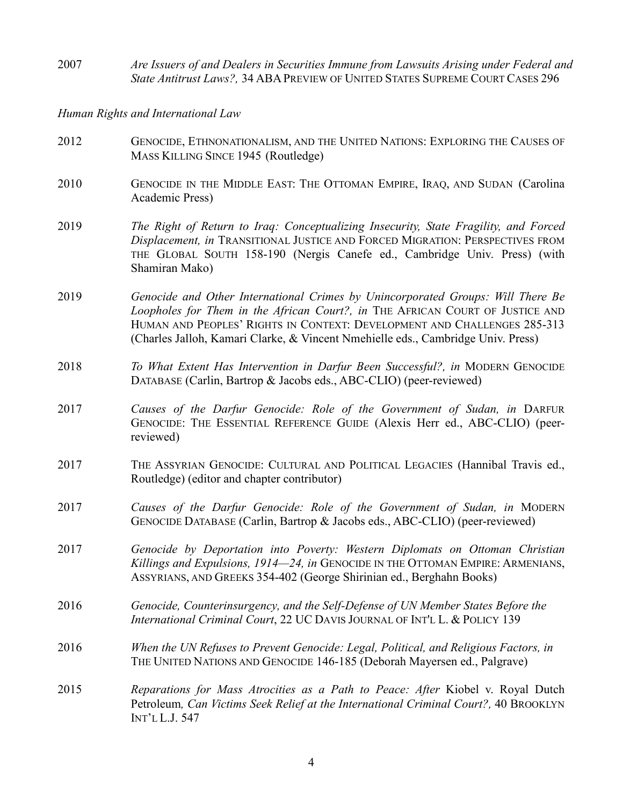2007 *Are Issuers of and Dealers in Securities Immune from Lawsuits Arising under Federal and*  State Antitrust Laws?, 34 ABA PREVIEW OF UNITED STATES SUPREME COURT CASES 296

*Human Rights and International Law*

- 2012 GENOCIDE, ETHNONATIONALISM, AND THE UNITED NATIONS: EXPLORING THE CAUSES OF MASS KILLING SINCE 1945 (Routledge)
- 2010 GENOCIDE IN THE MIDDLE EAST: THE OTTOMAN EMPIRE, IRAQ, AND SUDAN (Carolina Academic Press)
- 2019 *The Right of Return to Iraq: Conceptualizing Insecurity, State Fragility, and Forced Displacement, in* TRANSITIONAL JUSTICE AND FORCED MIGRATION: PERSPECTIVES FROM THE GLOBAL SOUTH 158-190 (Nergis Canefe ed., Cambridge Univ. Press) (with Shamiran Mako)
- 2019 *Genocide and Other International Crimes by Unincorporated Groups: Will There Be Loopholes for Them in the African Court?, in* THE AFRICAN COURT OF JUSTICE AND HUMAN AND PEOPLES' RIGHTS IN CONTEXT: DEVELOPMENT AND CHALLENGES 285-313 (Charles Jalloh, Kamari Clarke, & Vincent Nmehielle eds., Cambridge Univ. Press)
- 2018 *To What Extent Has Intervention in Darfur Been Successful?, in* MODERN GENOCIDE DATABASE (Carlin, Bartrop & Jacobs eds., ABC-CLIO) (peer-reviewed)
- 2017 *Causes of the Darfur Genocide: Role of the Government of Sudan, in* DARFUR GENOCIDE: THE ESSENTIAL REFERENCE GUIDE (Alexis Herr ed., ABC-CLIO) (peerreviewed)
- 2017 THE ASSYRIAN GENOCIDE: CULTURAL AND POLITICAL LEGACIES (Hannibal Travis ed., Routledge) (editor and chapter contributor)
- 2017 *Causes of the Darfur Genocide: Role of the Government of Sudan, in* MODERN GENOCIDE DATABASE (Carlin, Bartrop & Jacobs eds., ABC-CLIO) (peer-reviewed)
- 2017 *Genocide by Deportation into Poverty: Western Diplomats on Ottoman Christian Killings and Expulsions, 1914—24, in* GENOCIDE IN THE OTTOMAN EMPIRE: ARMENIANS, ASSYRIANS, AND GREEKS 354-402 (George Shirinian ed., Berghahn Books)
- 2016 *Genocide, Counterinsurgency, and the Self-Defense of UN Member States Before the International Criminal Court*, 22 UC DAVIS JOURNAL OF INT'L L. & POLICY 139
- 2016 *When the UN Refuses to Prevent Genocide: Legal, Political, and Religious Factors, in*  THE UNITED NATIONS AND GENOCIDE 146-185 (Deborah Mayersen ed., Palgrave)
- 2015 *Reparations for Mass Atrocities as a Path to Peace: After* Kiobel v. Royal Dutch Petroleum*, Can Victims Seek Relief at the International Criminal Court?,* 40 BROOKLYN INT'L L.J. 547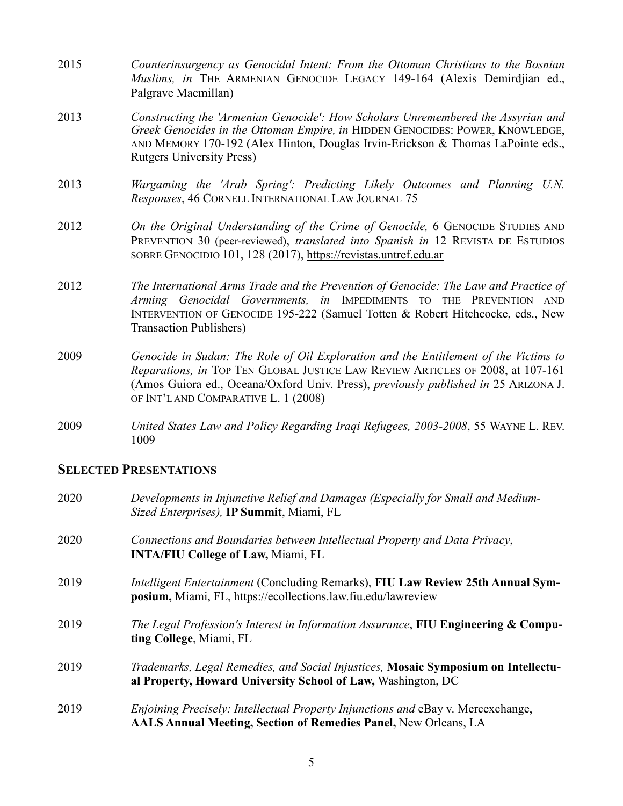- 2015 *Counterinsurgency as Genocidal Intent: From the Ottoman Christians to the Bosnian Muslims, in* THE ARMENIAN GENOCIDE LEGACY 149-164 (Alexis Demirdjian ed., Palgrave Macmillan)
- 2013 *Constructing the 'Armenian Genocide': How Scholars Unremembered the Assyrian and Greek Genocides in the Ottoman Empire, in* HIDDEN GENOCIDES: POWER, KNOWLEDGE, AND MEMORY 170-192 (Alex Hinton, Douglas Irvin-Erickson & Thomas LaPointe eds., Rutgers University Press)
- 2013 *Wargaming the 'Arab Spring': Predicting Likely Outcomes and Planning U.N. Responses*, 46 CORNELL INTERNATIONAL LAW JOURNAL 75
- 2012 *On the Original Understanding of the Crime of Genocide,* 6 GENOCIDE STUDIES AND PREVENTION 30 (peer-reviewed), *translated into Spanish in* 12 REVISTA DE ESTUDIOS SOBRE GENOCIDIO 101, 128 (2017), https://revistas.untref.edu.ar
- 2012 *The International Arms Trade and the Prevention of Genocide: The Law and Practice of Arming Genocidal Governments, in* IMPEDIMENTS TO THE PREVENTION AND INTERVENTION OF GENOCIDE 195-222 (Samuel Totten & Robert Hitchcocke, eds., New Transaction Publishers)
- 2009 *Genocide in Sudan: The Role of Oil Exploration and the Entitlement of the Victims to Reparations, in* TOP TEN GLOBAL JUSTICE LAW REVIEW ARTICLES OF 2008, at 107-161 (Amos Guiora ed., Oceana/Oxford Univ. Press), *previously published in* 25 ARIZONA J. OF INT'L AND COMPARATIVE L. 1 (2008)
- 2009 *United States Law and Policy Regarding Iraqi Refugees, 2003-2008*, 55 WAYNE L. REV. 1009

#### **SELECTED PRESENTATIONS**

| 2020 | Developments in Injunctive Relief and Damages (Especially for Small and Medium-<br>Sized Enterprises), IP Summit, Miami, FL                                       |
|------|-------------------------------------------------------------------------------------------------------------------------------------------------------------------|
| 2020 | Connections and Boundaries between Intellectual Property and Data Privacy,<br><b>INTA/FIU College of Law, Miami, FL</b>                                           |
| 2019 | <i>Intelligent Entertainment</i> (Concluding Remarks), FIU Law Review 25th Annual Sym-<br>posium, Miami, FL, https://ecollections.law.fiu.edu/lawreview           |
| 2019 | The Legal Profession's Interest in Information Assurance, FIU Engineering & Compu-<br>ting College, Miami, FL                                                     |
| 2019 | Trademarks, Legal Remedies, and Social Injustices, Mosaic Symposium on Intellectu-<br>al Property, Howard University School of Law, Washington, DC                |
| 2019 | <i>Enjoining Precisely: Intellectual Property Injunctions and eBay v. Mercexchange,</i><br><b>AALS Annual Meeting, Section of Remedies Panel, New Orleans, LA</b> |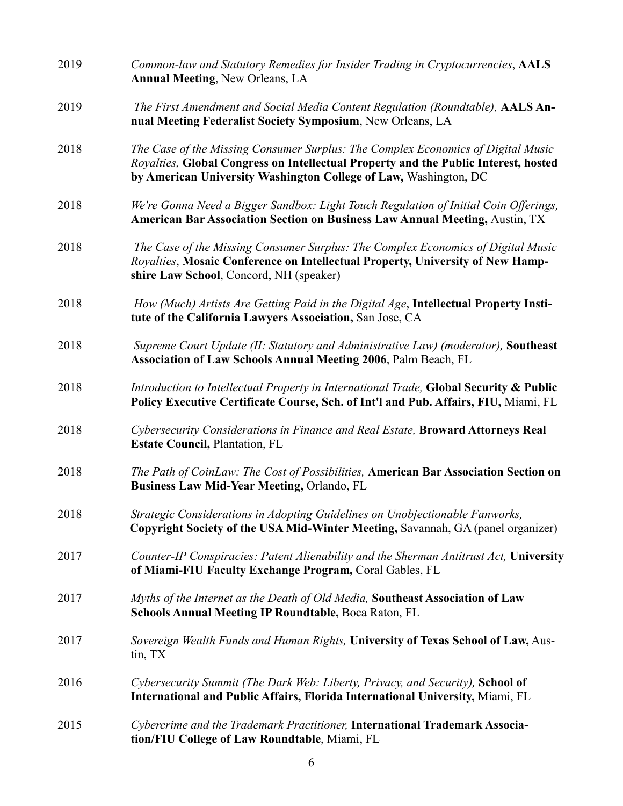| 2019 | Common-law and Statutory Remedies for Insider Trading in Cryptocurrencies, AALS<br><b>Annual Meeting, New Orleans, LA</b>                                                                                                                   |  |  |  |  |
|------|---------------------------------------------------------------------------------------------------------------------------------------------------------------------------------------------------------------------------------------------|--|--|--|--|
| 2019 | The First Amendment and Social Media Content Regulation (Roundtable), AALS An-<br>nual Meeting Federalist Society Symposium, New Orleans, LA                                                                                                |  |  |  |  |
| 2018 | The Case of the Missing Consumer Surplus: The Complex Economics of Digital Music<br>Royalties, Global Congress on Intellectual Property and the Public Interest, hosted<br>by American University Washington College of Law, Washington, DC |  |  |  |  |
| 2018 | We're Gonna Need a Bigger Sandbox: Light Touch Regulation of Initial Coin Offerings,<br><b>American Bar Association Section on Business Law Annual Meeting, Austin, TX</b>                                                                  |  |  |  |  |
| 2018 | The Case of the Missing Consumer Surplus: The Complex Economics of Digital Music<br>Royalties, Mosaic Conference on Intellectual Property, University of New Hamp-<br>shire Law School, Concord, NH (speaker)                               |  |  |  |  |
| 2018 | How (Much) Artists Are Getting Paid in the Digital Age, Intellectual Property Insti-<br>tute of the California Lawyers Association, San Jose, CA                                                                                            |  |  |  |  |
| 2018 | Supreme Court Update (II: Statutory and Administrative Law) (moderator), Southeast<br>Association of Law Schools Annual Meeting 2006, Palm Beach, FL                                                                                        |  |  |  |  |
| 2018 | Introduction to Intellectual Property in International Trade, Global Security & Public<br>Policy Executive Certificate Course, Sch. of Int'l and Pub. Affairs, FIU, Miami, FL                                                               |  |  |  |  |
| 2018 | Cybersecurity Considerations in Finance and Real Estate, Broward Attorneys Real<br><b>Estate Council, Plantation, FL</b>                                                                                                                    |  |  |  |  |
| 2018 | The Path of CoinLaw: The Cost of Possibilities, American Bar Association Section on<br><b>Business Law Mid-Year Meeting, Orlando, FL</b>                                                                                                    |  |  |  |  |
| 2018 | Strategic Considerations in Adopting Guidelines on Unobjectionable Fanworks,<br>Copyright Society of the USA Mid-Winter Meeting, Savannah, GA (panel organizer)                                                                             |  |  |  |  |
| 2017 | Counter-IP Conspiracies: Patent Alienability and the Sherman Antitrust Act, University<br>of Miami-FIU Faculty Exchange Program, Coral Gables, FL                                                                                           |  |  |  |  |
| 2017 | Myths of the Internet as the Death of Old Media, Southeast Association of Law<br><b>Schools Annual Meeting IP Roundtable, Boca Raton, FL</b>                                                                                                |  |  |  |  |
| 2017 | Sovereign Wealth Funds and Human Rights, University of Texas School of Law, Aus-<br>tin, TX                                                                                                                                                 |  |  |  |  |
| 2016 | Cybersecurity Summit (The Dark Web: Liberty, Privacy, and Security), School of<br>International and Public Affairs, Florida International University, Miami, FL                                                                             |  |  |  |  |
| 2015 | Cybercrime and the Trademark Practitioner, International Trademark Associa-<br>tion/FIU College of Law Roundtable, Miami, FL                                                                                                                |  |  |  |  |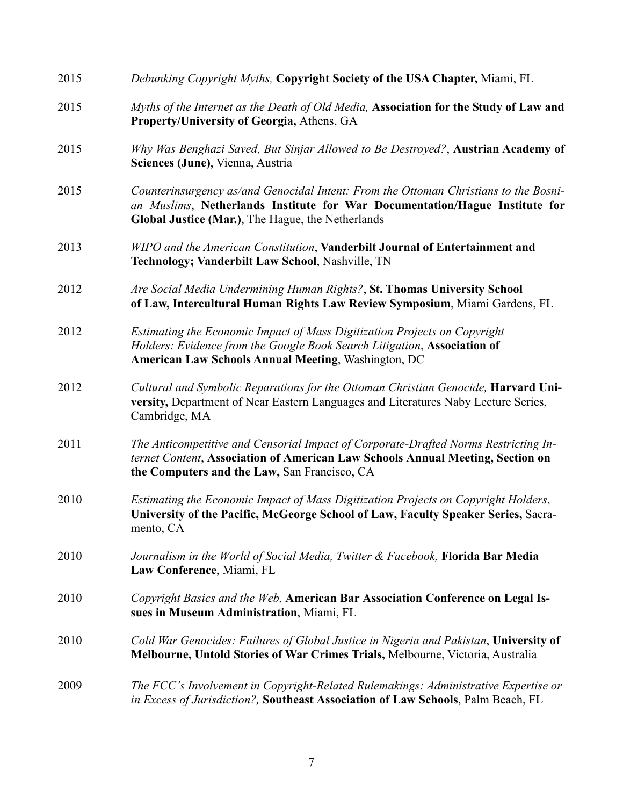| 2015 | Debunking Copyright Myths, Copyright Society of the USA Chapter, Miami, FL                                                                                                                                               |
|------|--------------------------------------------------------------------------------------------------------------------------------------------------------------------------------------------------------------------------|
| 2015 | Myths of the Internet as the Death of Old Media, Association for the Study of Law and<br>Property/University of Georgia, Athens, GA                                                                                      |
| 2015 | Why Was Benghazi Saved, But Sinjar Allowed to Be Destroyed?, Austrian Academy of<br>Sciences (June), Vienna, Austria                                                                                                     |
| 2015 | Counterinsurgency as/and Genocidal Intent: From the Ottoman Christians to the Bosni-<br>an Muslims, Netherlands Institute for War Documentation/Hague Institute for<br>Global Justice (Mar.), The Hague, the Netherlands |
| 2013 | WIPO and the American Constitution, Vanderbilt Journal of Entertainment and<br>Technology; Vanderbilt Law School, Nashville, TN                                                                                          |
| 2012 | Are Social Media Undermining Human Rights?, St. Thomas University School<br>of Law, Intercultural Human Rights Law Review Symposium, Miami Gardens, FL                                                                   |
| 2012 | Estimating the Economic Impact of Mass Digitization Projects on Copyright<br>Holders: Evidence from the Google Book Search Litigation, Association of<br><b>American Law Schools Annual Meeting, Washington, DC</b>      |
| 2012 | Cultural and Symbolic Reparations for the Ottoman Christian Genocide, Harvard Uni-<br>versity, Department of Near Eastern Languages and Literatures Naby Lecture Series,<br>Cambridge, MA                                |
| 2011 | The Anticompetitive and Censorial Impact of Corporate-Drafted Norms Restricting In-<br>ternet Content, Association of American Law Schools Annual Meeting, Section on<br>the Computers and the Law, San Francisco, CA    |
| 2010 | Estimating the Economic Impact of Mass Digitization Projects on Copyright Holders,<br>University of the Pacific, McGeorge School of Law, Faculty Speaker Series, Sacra-<br>mento, CA                                     |
| 2010 | Journalism in the World of Social Media, Twitter & Facebook, Florida Bar Media<br>Law Conference, Miami, FL                                                                                                              |
| 2010 | Copyright Basics and the Web, American Bar Association Conference on Legal Is-<br>sues in Museum Administration, Miami, FL                                                                                               |
| 2010 | Cold War Genocides: Failures of Global Justice in Nigeria and Pakistan, University of<br>Melbourne, Untold Stories of War Crimes Trials, Melbourne, Victoria, Australia                                                  |
| 2009 | The FCC's Involvement in Copyright-Related Rulemakings: Administrative Expertise or<br>in Excess of Jurisdiction?, Southeast Association of Law Schools, Palm Beach, FL                                                  |